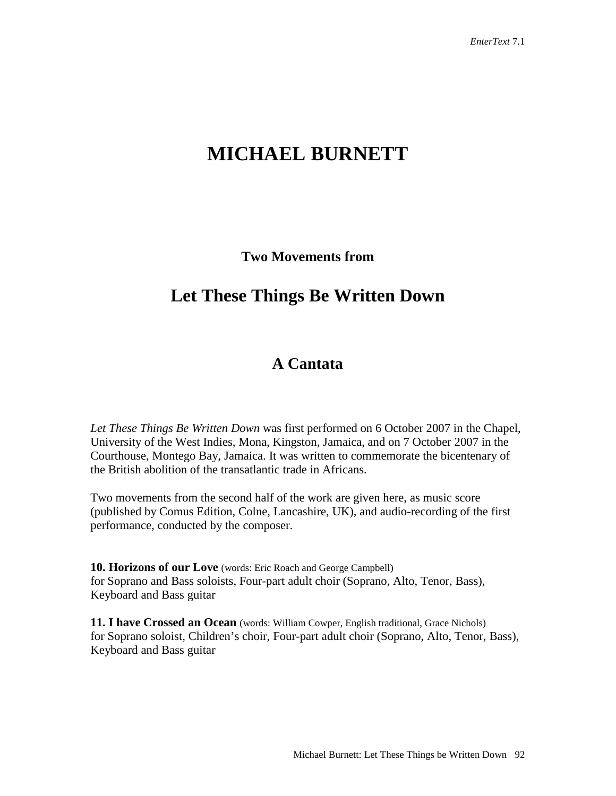# **MICHAEL BURNETT**

**Two Movements from**

## **Let These Things Be Written Down**

### **A Cantata**

*Let These Things Be Written Down* was first performed on 6 October 2007 in the Chapel, University of the West Indies, Mona, Kingston, Jamaica, and on 7 October 2007 in the Courthouse, Montego Bay, Jamaica. It was written to commemorate the bicentenary of the British abolition of the transatlantic trade in Africans.

Two movements from the second half of the work are given here, as music score (published by Comus Edition, Colne, Lancashire, UK), and audio-recording of the first performance, conducted by the composer.

**10. Horizons of our Love** (words: Eric Roach and George Campbell) for Soprano and Bass soloists, Four-part adult choir (Soprano, Alto, Tenor, Bass), Keyboard and Bass guitar

**11. I have Crossed an Ocean** (words: William Cowper, English traditional, Grace Nichols) for Soprano soloist, Children's choir, Four-part adult choir (Soprano, Alto, Tenor, Bass), Keyboard and Bass guitar